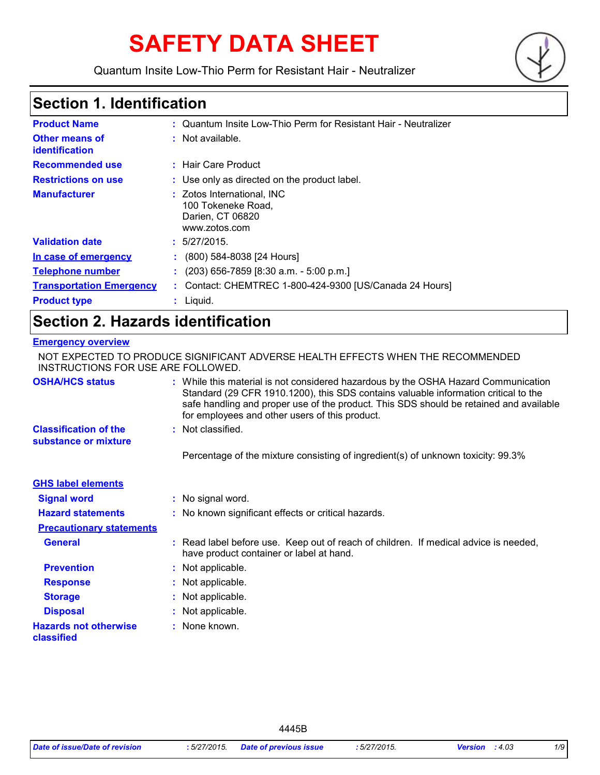# **SAFETY DATA SHEET**

Quantum Insite Low-Thio Perm for Resistant Hair - Neutralizer



### **Section 1. Identification**

| <b>Product Name</b>                            | : Quantum Insite Low-Thio Perm for Resistant Hair - Neutralizer                       |
|------------------------------------------------|---------------------------------------------------------------------------------------|
| <b>Other means of</b><br><b>identification</b> | : Not available.                                                                      |
| <b>Recommended use</b>                         | : Hair Care Product                                                                   |
| <b>Restrictions on use</b>                     | : Use only as directed on the product label.                                          |
| <b>Manufacturer</b>                            | : Zotos International, INC<br>100 Tokeneke Road,<br>Darien, CT 06820<br>www.zotos.com |
| <b>Validation date</b>                         | : 5/27/2015.                                                                          |
| In case of emergency                           | (800) 584-8038 [24 Hours]<br>÷.                                                       |
| <b>Telephone number</b>                        | (203) 656-7859 [8:30 a.m. - 5:00 p.m.]<br>÷.                                          |
| <b>Transportation Emergency</b>                | : Contact: CHEMTREC 1-800-424-9300 [US/Canada 24 Hours]                               |
| <b>Product type</b>                            | $:$ Liquid.                                                                           |

### **Section 2. Hazards identification**

#### **Emergency overview**

| NOT EXPECTED TO PRODUCE SIGNIFICANT ADVERSE HEALTH EFFECTS WHEN THE RECOMMENDED<br>INSTRUCTIONS FOR USE ARE FOLLOWED. |  |                                                                                                                                                                                                                                                                                                                       |
|-----------------------------------------------------------------------------------------------------------------------|--|-----------------------------------------------------------------------------------------------------------------------------------------------------------------------------------------------------------------------------------------------------------------------------------------------------------------------|
| <b>OSHA/HCS status</b>                                                                                                |  | : While this material is not considered hazardous by the OSHA Hazard Communication<br>Standard (29 CFR 1910.1200), this SDS contains valuable information critical to the<br>safe handling and proper use of the product. This SDS should be retained and available<br>for employees and other users of this product. |
| <b>Classification of the</b><br>substance or mixture                                                                  |  | : Not classified.                                                                                                                                                                                                                                                                                                     |
|                                                                                                                       |  | Percentage of the mixture consisting of ingredient(s) of unknown toxicity: 99.3%                                                                                                                                                                                                                                      |
| <b>GHS label elements</b>                                                                                             |  |                                                                                                                                                                                                                                                                                                                       |
| <b>Signal word</b>                                                                                                    |  | : No signal word.                                                                                                                                                                                                                                                                                                     |
| <b>Hazard statements</b>                                                                                              |  | : No known significant effects or critical hazards.                                                                                                                                                                                                                                                                   |
| <b>Precautionary statements</b>                                                                                       |  |                                                                                                                                                                                                                                                                                                                       |
| <b>General</b>                                                                                                        |  | : Read label before use. Keep out of reach of children. If medical advice is needed,<br>have product container or label at hand.                                                                                                                                                                                      |
| <b>Prevention</b>                                                                                                     |  | : Not applicable.                                                                                                                                                                                                                                                                                                     |
| <b>Response</b>                                                                                                       |  | : Not applicable.                                                                                                                                                                                                                                                                                                     |
| <b>Storage</b>                                                                                                        |  | : Not applicable.                                                                                                                                                                                                                                                                                                     |
| <b>Disposal</b>                                                                                                       |  | : Not applicable.                                                                                                                                                                                                                                                                                                     |
| <b>Hazards not otherwise</b><br>classified                                                                            |  | : None known.                                                                                                                                                                                                                                                                                                         |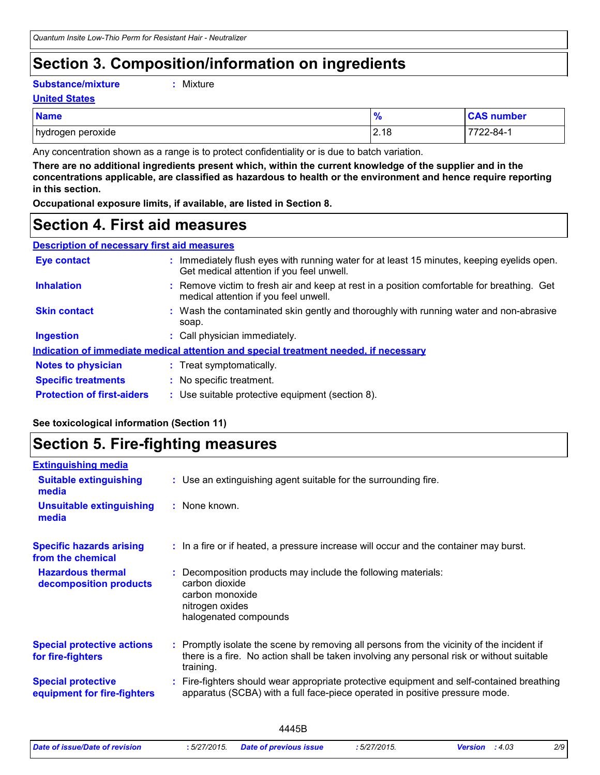### **Section 3. Composition/information on ingredients**

#### **Substance/mixture :**

: Mixture

#### **United States**

| <b>Name</b>       | 70   | <b>CAS number</b> |
|-------------------|------|-------------------|
| hydrogen peroxide | 2.18 | <b>722-84-1</b>   |

Any concentration shown as a range is to protect confidentiality or is due to batch variation.

**There are no additional ingredients present which, within the current knowledge of the supplier and in the concentrations applicable, are classified as hazardous to health or the environment and hence require reporting in this section.**

**Occupational exposure limits, if available, are listed in Section 8.**

### **Section 4. First aid measures**

| <b>Description of necessary first aid measures</b> |                               |
|----------------------------------------------------|-------------------------------|
| Eus santast                                        | بموريم وامرزا كبراوا والمحامد |

| <b>Eye contact</b>                | : Immediately flush eyes with running water for at least 15 minutes, keeping eyelids open.<br>Get medical attention if you feel unwell. |
|-----------------------------------|-----------------------------------------------------------------------------------------------------------------------------------------|
| <b>Inhalation</b>                 | : Remove victim to fresh air and keep at rest in a position comfortable for breathing. Get<br>medical attention if you feel unwell.     |
| <b>Skin contact</b>               | : Wash the contaminated skin gently and thoroughly with running water and non-abrasive<br>soap.                                         |
| <b>Ingestion</b>                  | : Call physician immediately.                                                                                                           |
|                                   | Indication of immediate medical attention and special treatment needed, if necessary                                                    |
| <b>Notes to physician</b>         | : Treat symptomatically.                                                                                                                |
| <b>Specific treatments</b>        | : No specific treatment.                                                                                                                |
| <b>Protection of first-aiders</b> | : Use suitable protective equipment (section 8).                                                                                        |

#### **See toxicological information (Section 11)**

### **Section 5. Fire-fighting measures**

| <b>Extinguishing media</b>                               |                                                                                                                                                                                                     |
|----------------------------------------------------------|-----------------------------------------------------------------------------------------------------------------------------------------------------------------------------------------------------|
| <b>Suitable extinguishing</b><br>media                   | : Use an extinguishing agent suitable for the surrounding fire.                                                                                                                                     |
| <b>Unsuitable extinguishing</b><br>media                 | : None known.                                                                                                                                                                                       |
| <b>Specific hazards arising</b><br>from the chemical     | : In a fire or if heated, a pressure increase will occur and the container may burst.                                                                                                               |
| <b>Hazardous thermal</b><br>decomposition products       | Decomposition products may include the following materials:<br>carbon dioxide<br>carbon monoxide<br>nitrogen oxides<br>halogenated compounds                                                        |
| <b>Special protective actions</b><br>for fire-fighters   | : Promptly isolate the scene by removing all persons from the vicinity of the incident if<br>there is a fire. No action shall be taken involving any personal risk or without suitable<br>training. |
| <b>Special protective</b><br>equipment for fire-fighters | Fire-fighters should wear appropriate protective equipment and self-contained breathing<br>apparatus (SCBA) with a full face-piece operated in positive pressure mode.                              |
|                                                          |                                                                                                                                                                                                     |

|                                |             | 4445B                         |              |                         |     |
|--------------------------------|-------------|-------------------------------|--------------|-------------------------|-----|
| Date of issue/Date of revision | :5/27/2015. | <b>Date of previous issue</b> | : 5/27/2015. | <b>Version</b> : $4.03$ | 2/9 |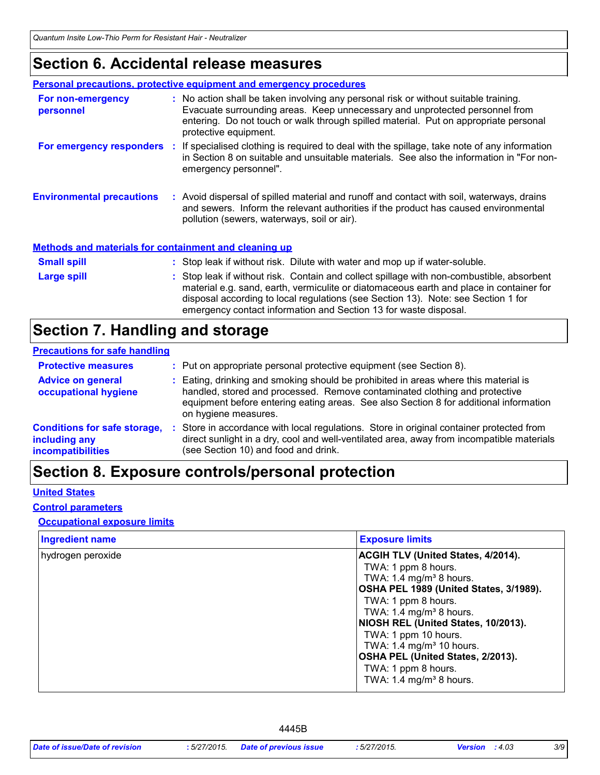### **Section 6. Accidental release measures**

|                                                              | <b>Personal precautions, protective equipment and emergency procedures</b>                                                                                                                                                                                                                                                                    |
|--------------------------------------------------------------|-----------------------------------------------------------------------------------------------------------------------------------------------------------------------------------------------------------------------------------------------------------------------------------------------------------------------------------------------|
| For non-emergency<br>personnel                               | : No action shall be taken involving any personal risk or without suitable training.<br>Evacuate surrounding areas. Keep unnecessary and unprotected personnel from<br>entering. Do not touch or walk through spilled material. Put on appropriate personal<br>protective equipment.                                                          |
|                                                              | For emergency responders : If specialised clothing is required to deal with the spillage, take note of any information<br>in Section 8 on suitable and unsuitable materials. See also the information in "For non-<br>emergency personnel".                                                                                                   |
| <b>Environmental precautions</b>                             | : Avoid dispersal of spilled material and runoff and contact with soil, waterways, drains<br>and sewers. Inform the relevant authorities if the product has caused environmental<br>pollution (sewers, waterways, soil or air).                                                                                                               |
| <b>Methods and materials for containment and cleaning up</b> |                                                                                                                                                                                                                                                                                                                                               |
| <b>Small spill</b>                                           | : Stop leak if without risk. Dilute with water and mop up if water-soluble.                                                                                                                                                                                                                                                                   |
| Large spill                                                  | : Stop leak if without risk. Contain and collect spillage with non-combustible, absorbent<br>material e.g. sand, earth, vermiculite or diatomaceous earth and place in container for<br>disposal according to local regulations (see Section 13). Note: see Section 1 for<br>emergency contact information and Section 13 for waste disposal. |

### **Section 7. Handling and storage**

#### **Precautions for safe handling**

| <b>Protective measures</b>                                                       | : Put on appropriate personal protective equipment (see Section 8).                                                                                                                                                                                                                |
|----------------------------------------------------------------------------------|------------------------------------------------------------------------------------------------------------------------------------------------------------------------------------------------------------------------------------------------------------------------------------|
| <b>Advice on general</b><br>occupational hygiene                                 | : Eating, drinking and smoking should be prohibited in areas where this material is<br>handled, stored and processed. Remove contaminated clothing and protective<br>equipment before entering eating areas. See also Section 8 for additional information<br>on hygiene measures. |
| <b>Conditions for safe storage,</b><br>including any<br><b>incompatibilities</b> | Store in accordance with local regulations. Store in original container protected from<br>direct sunlight in a dry, cool and well-ventilated area, away from incompatible materials<br>(see Section 10) and food and drink.                                                        |

### **Section 8. Exposure controls/personal protection**

#### **United States**

#### **Control parameters**

#### **Occupational exposure limits**

| <b>Ingredient name</b> | <b>Exposure limits</b>                    |
|------------------------|-------------------------------------------|
| hydrogen peroxide      | <b>ACGIH TLV (United States, 4/2014).</b> |
|                        | TWA: 1 ppm 8 hours.                       |
|                        | TWA: 1.4 mg/m <sup>3</sup> 8 hours.       |
|                        | OSHA PEL 1989 (United States, 3/1989).    |
|                        | TWA: 1 ppm 8 hours.                       |
|                        | TWA: 1.4 mg/m <sup>3</sup> 8 hours.       |
|                        | NIOSH REL (United States, 10/2013).       |
|                        | TWA: 1 ppm 10 hours.                      |
|                        | TWA: 1.4 mg/m <sup>3</sup> 10 hours.      |
|                        | OSHA PEL (United States, 2/2013).         |
|                        | TWA: 1 ppm 8 hours.                       |
|                        | TWA: 1.4 mg/m <sup>3</sup> 8 hours.       |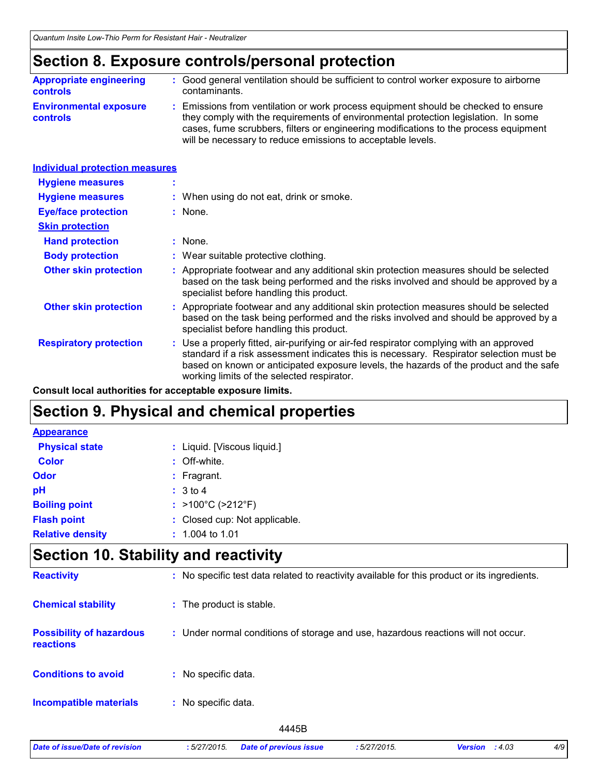### **Section 8. Exposure controls/personal protection**

| <b>Appropriate engineering</b>                   | : Good general ventilation should be sufficient to control worker exposure to airborne                                                                                                                                                                                                                                          |
|--------------------------------------------------|---------------------------------------------------------------------------------------------------------------------------------------------------------------------------------------------------------------------------------------------------------------------------------------------------------------------------------|
| <b>controls</b>                                  | contaminants.                                                                                                                                                                                                                                                                                                                   |
| <b>Environmental exposure</b><br><b>controls</b> | : Emissions from ventilation or work process equipment should be checked to ensure<br>they comply with the requirements of environmental protection legislation. In some<br>cases, fume scrubbers, filters or engineering modifications to the process equipment<br>will be necessary to reduce emissions to acceptable levels. |

| <b>Individual protection measures</b> |                                                                                                                                                                                                                                                                                                                            |
|---------------------------------------|----------------------------------------------------------------------------------------------------------------------------------------------------------------------------------------------------------------------------------------------------------------------------------------------------------------------------|
| <b>Hygiene measures</b>               |                                                                                                                                                                                                                                                                                                                            |
| <b>Hygiene measures</b>               | : When using do not eat, drink or smoke.                                                                                                                                                                                                                                                                                   |
| <b>Eye/face protection</b>            | : None.                                                                                                                                                                                                                                                                                                                    |
| <b>Skin protection</b>                |                                                                                                                                                                                                                                                                                                                            |
| <b>Hand protection</b>                | $:$ None.                                                                                                                                                                                                                                                                                                                  |
| <b>Body protection</b>                | : Wear suitable protective clothing.                                                                                                                                                                                                                                                                                       |
| <b>Other skin protection</b>          | : Appropriate footwear and any additional skin protection measures should be selected<br>based on the task being performed and the risks involved and should be approved by a<br>specialist before handling this product.                                                                                                  |
| <b>Other skin protection</b>          | : Appropriate footwear and any additional skin protection measures should be selected<br>based on the task being performed and the risks involved and should be approved by a<br>specialist before handling this product.                                                                                                  |
| <b>Respiratory protection</b>         | : Use a properly fitted, air-purifying or air-fed respirator complying with an approved<br>standard if a risk assessment indicates this is necessary. Respirator selection must be<br>based on known or anticipated exposure levels, the hazards of the product and the safe<br>working limits of the selected respirator. |

**Consult local authorities for acceptable exposure limits.**

### **Section 9. Physical and chemical properties**

| <b>Appearance</b>       |                                        |
|-------------------------|----------------------------------------|
| <b>Physical state</b>   | : Liquid. [Viscous liquid.]            |
| <b>Color</b>            | : Off-white.                           |
| Odor                    | $:$ Fragrant.                          |
| pH                      | : 3 to 4                               |
| <b>Boiling point</b>    | : $>100^{\circ}$ C ( $>212^{\circ}$ F) |
| <b>Flash point</b>      | : Closed cup: Not applicable.          |
| <b>Relative density</b> | $: 1.004$ to 1.01                      |

### **Section 10. Stability and reactivity**

| <b>Reactivity</b>                            | : No specific test data related to reactivity available for this product or its ingredients. |
|----------------------------------------------|----------------------------------------------------------------------------------------------|
| <b>Chemical stability</b>                    | : The product is stable.                                                                     |
| <b>Possibility of hazardous</b><br>reactions | : Under normal conditions of storage and use, hazardous reactions will not occur.            |
| <b>Conditions to avoid</b>                   | : No specific data.                                                                          |
| <b>Incompatible materials</b>                | No specific data.<br>÷.                                                                      |
|                                              | 4445B                                                                                        |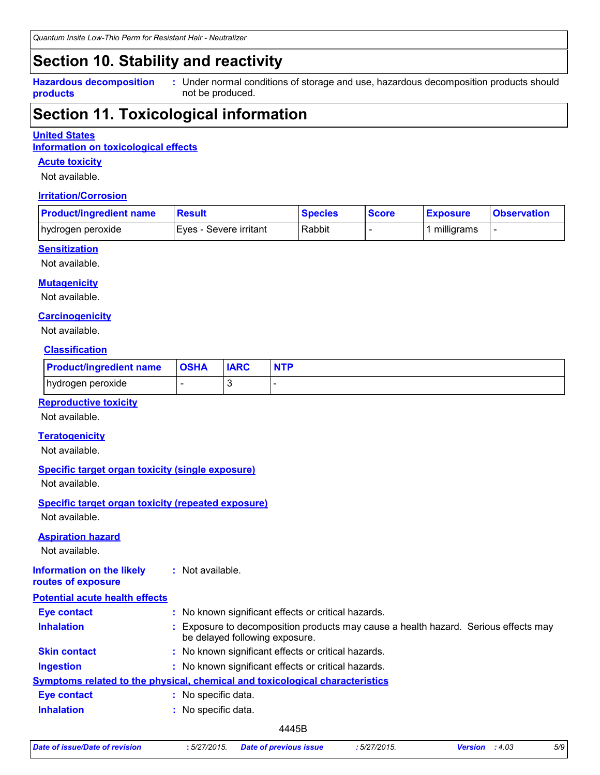### **Section 10. Stability and reactivity**

**Hazardous decomposition products**

Under normal conditions of storage and use, hazardous decomposition products should **:** not be produced.

### **Section 11. Toxicological information**

#### **United States**

**Information on toxicological effects**

#### **Acute toxicity**

Not available.

#### **Irritation/Corrosion**

| <b>Product/ingredient name</b> | <u> Result</u>           | <b>Species</b> | <b>Score</b> | <b>Exposure</b> | <u>I</u> Observation |
|--------------------------------|--------------------------|----------------|--------------|-----------------|----------------------|
| hydrogen peroxide              | I Eves - Severe irritant | Rabbit         |              | milligrams      |                      |

#### **Sensitization**

Not available.

#### **Mutagenicity**

Not available.

#### **Carcinogenicity**

Not available.

#### **Classification**

| <b>Product/ingredient name   OSHA</b> |   | <b>IARC</b> | <b>NTP</b> |
|---------------------------------------|---|-------------|------------|
| hydrogen peroxide                     | - |             |            |

#### **Reproductive toxicity**

Not available.

#### **Teratogenicity**

Not available.

#### **Specific target organ toxicity (single exposure)**

Not available.

### **Specific target organ toxicity (repeated exposure)**

Not available.

#### **Aspiration hazard**

Not available.

#### **Information on the likely routes of exposure :** Not available.

| <b>Potential acute health effects</b> |    |                                                                                                                       |
|---------------------------------------|----|-----------------------------------------------------------------------------------------------------------------------|
| <b>Eye contact</b>                    |    | : No known significant effects or critical hazards.                                                                   |
| <b>Inhalation</b>                     |    | : Exposure to decomposition products may cause a health hazard. Serious effects may<br>be delayed following exposure. |
| <b>Skin contact</b>                   |    | : No known significant effects or critical hazards.                                                                   |
| <b>Ingestion</b>                      |    | : No known significant effects or critical hazards.                                                                   |
|                                       |    | <b>Symptoms related to the physical, chemical and toxicological characteristics</b>                                   |
| <b>Eye contact</b>                    | ٠. | No specific data.                                                                                                     |
| <b>Inhalation</b>                     |    | No specific data.                                                                                                     |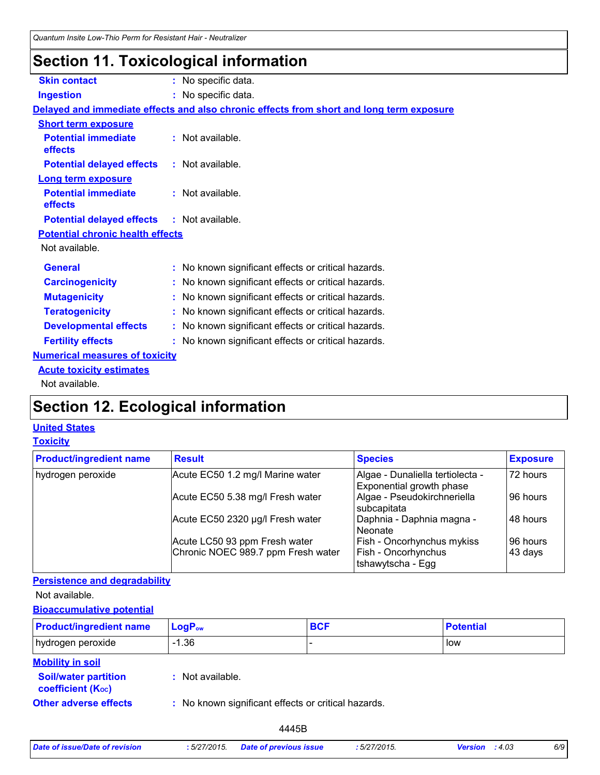### **Section 11. Toxicological information**

| <b>Skin contact</b>                               | : No specific data.                                                                      |
|---------------------------------------------------|------------------------------------------------------------------------------------------|
| <b>Ingestion</b>                                  | : No specific data.                                                                      |
|                                                   | Delayed and immediate effects and also chronic effects from short and long term exposure |
| <b>Short term exposure</b>                        |                                                                                          |
| <b>Potential immediate</b><br>effects             | : Not available.                                                                         |
| <b>Potential delayed effects</b>                  | : Not available.                                                                         |
| <b>Long term exposure</b>                         |                                                                                          |
| <b>Potential immediate</b><br>effects             | : Not available.                                                                         |
| <b>Potential delayed effects : Not available.</b> |                                                                                          |
| <b>Potential chronic health effects</b>           |                                                                                          |
| Not available.                                    |                                                                                          |
| <b>General</b>                                    | : No known significant effects or critical hazards.                                      |
| <b>Carcinogenicity</b>                            | : No known significant effects or critical hazards.                                      |
| <b>Mutagenicity</b>                               | : No known significant effects or critical hazards.                                      |
| <b>Teratogenicity</b>                             | : No known significant effects or critical hazards.                                      |
| <b>Developmental effects</b>                      | : No known significant effects or critical hazards.                                      |
| <b>Fertility effects</b>                          | : No known significant effects or critical hazards.                                      |
| <b>Numerical measures of toxicity</b>             |                                                                                          |
| <b>Acute toxicity estimates</b>                   |                                                                                          |
| Not available.                                    |                                                                                          |

## **Section 12. Ecological information**

### **United States**

#### **Toxicity**

| <b>Product/ingredient name</b> | <b>Result</b>                      | <b>Species</b>                                               | <b>Exposure</b> |
|--------------------------------|------------------------------------|--------------------------------------------------------------|-----------------|
| hydrogen peroxide              | Acute EC50 1.2 mg/l Marine water   | Algae - Dunaliella tertiolecta -<br>Exponential growth phase | 72 hours        |
|                                | Acute EC50 5.38 mg/l Fresh water   | Algae - Pseudokirchneriella<br>subcapitata                   | 96 hours        |
|                                | Acute EC50 2320 µg/l Fresh water   | Daphnia - Daphnia magna -<br>Neonate                         | 48 hours        |
|                                | Acute LC50 93 ppm Fresh water      | Fish - Oncorhynchus mykiss                                   | 96 hours        |
|                                | Chronic NOEC 989.7 ppm Fresh water | Fish - Oncorhynchus<br>Itshawytscha - Egg                    | 43 days         |

#### **Persistence and degradability**

Not available.

#### **Bioaccumulative potential**

| <b>Product/ingredient name</b>                           | $LogP_{ow}$                                         | <b>BCF</b> | <b>Potential</b> |
|----------------------------------------------------------|-----------------------------------------------------|------------|------------------|
| hydrogen peroxide                                        | -1.36                                               |            | low              |
| <b>Mobility in soil</b><br><b>Soil/water partition</b>   | : Not available.                                    |            |                  |
| <b>coefficient (Koc)</b><br><b>Other adverse effects</b> | : No known significant effects or critical hazards. |            |                  |

| Date of issue/Date of revision | :5/27/2015. | <b>Date of previous</b> |
|--------------------------------|-------------|-------------------------|
|--------------------------------|-------------|-------------------------|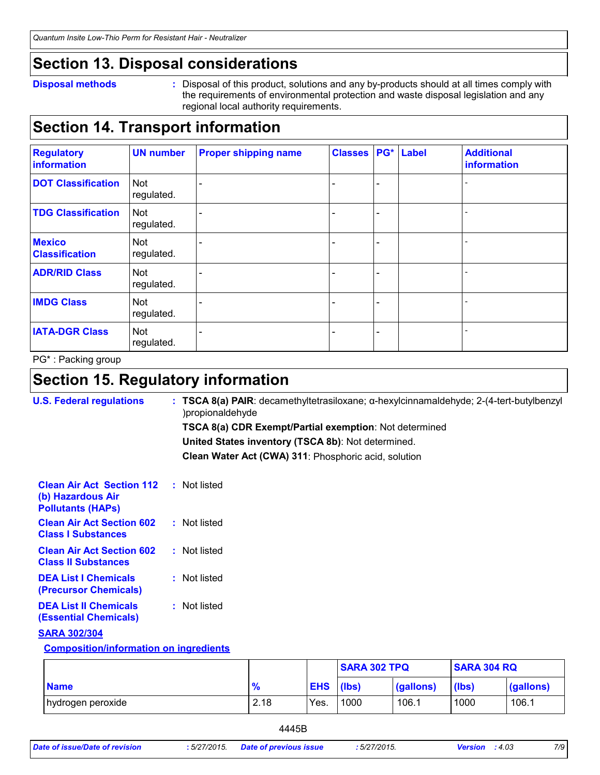### **Section 13. Disposal considerations**

#### **Disposal methods :**

Disposal of this product, solutions and any by-products should at all times comply with the requirements of environmental protection and waste disposal legislation and any regional local authority requirements.

### **Section 14. Transport information**

| <b>Regulatory</b><br>information       | <b>UN number</b>         | <b>Proper shipping name</b> | <b>Classes</b> |                          | PG* Label | <b>Additional</b><br>information |
|----------------------------------------|--------------------------|-----------------------------|----------------|--------------------------|-----------|----------------------------------|
| <b>DOT Classification</b>              | <b>Not</b><br>regulated. |                             |                | $\overline{\phantom{0}}$ |           |                                  |
| <b>TDG Classification</b>              | <b>Not</b><br>regulated. |                             |                | -                        |           |                                  |
| <b>Mexico</b><br><b>Classification</b> | Not<br>regulated.        |                             |                | $\overline{\phantom{a}}$ |           |                                  |
| <b>ADR/RID Class</b>                   | <b>Not</b><br>regulated. |                             |                | -                        |           |                                  |
| <b>IMDG Class</b>                      | Not<br>regulated.        |                             |                | -                        |           |                                  |
| <b>IATA-DGR Class</b>                  | <b>Not</b><br>regulated. |                             |                | -                        |           |                                  |

PG\* : Packing group

### **Section 15. Regulatory information**

| <b>U.S. Federal regulations</b>                                                   | : TSCA 8(a) PAIR: decamethyltetrasiloxane; $\alpha$ -hexylcinnamaldehyde; 2-(4-tert-butylbenzyl<br>)propionaldehyde |
|-----------------------------------------------------------------------------------|---------------------------------------------------------------------------------------------------------------------|
|                                                                                   | <b>TSCA 8(a) CDR Exempt/Partial exemption: Not determined</b>                                                       |
|                                                                                   | United States inventory (TSCA 8b): Not determined.                                                                  |
|                                                                                   | Clean Water Act (CWA) 311: Phosphoric acid, solution                                                                |
| <b>Clean Air Act Section 112</b><br>(b) Hazardous Air<br><b>Pollutants (HAPS)</b> | : Not listed                                                                                                        |
| <b>Clean Air Act Section 602</b><br><b>Class I Substances</b>                     | : Not listed                                                                                                        |
| <b>Clean Air Act Section 602</b><br><b>Class II Substances</b>                    | : Not listed                                                                                                        |
| <b>DEA List I Chemicals</b><br>(Precursor Chemicals)                              | : Not listed                                                                                                        |
| <b>DEA List II Chemicals</b><br><b>(Essential Chemicals)</b>                      | : Not listed                                                                                                        |
| <b>SARA 302/304</b>                                                               |                                                                                                                     |
| <b>Composition/information on ingredients</b>                                     |                                                                                                                     |

|                   |      |            | <b>SARA 302 TPQ</b> |           | <b>SARA 304 RQ</b> |           |  |
|-------------------|------|------------|---------------------|-----------|--------------------|-----------|--|
| <b>Name</b>       | 70   | <b>EHS</b> | (lbs)               | (gallons) | (lbs)              | (gallons) |  |
| hydrogen peroxide | 2.18 | Yes.       | 1000                | 106.1     | 1000               | 106.1     |  |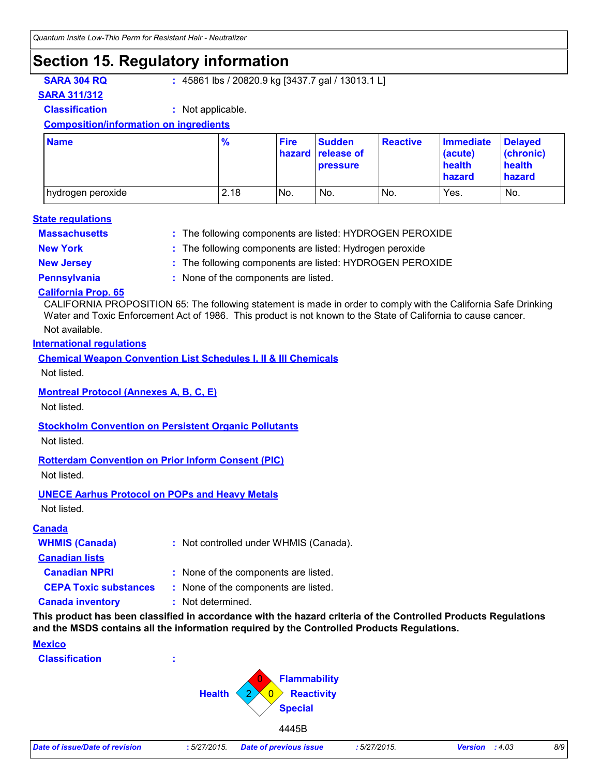### **Section 15. Regulatory information**

**SARA 304 RQ :** 45861 lbs / 20820.9 kg [3437.7 gal / 13013.1 L]

#### **SARA 311/312**

**Classification :** Not applicable.

#### **Composition/information on ingredients**

| <b>Name</b>         | $\frac{9}{6}$ | <b>Fire</b> | <b>Sudden</b><br>hazard release of<br><b>pressure</b> | <b>Reactive</b> | <b>Immediate</b><br>(acute)<br>health<br>hazard | <b>Delayed</b><br>(chronic)<br>health<br>hazard |
|---------------------|---------------|-------------|-------------------------------------------------------|-----------------|-------------------------------------------------|-------------------------------------------------|
| I hydrogen peroxide | 2.18          | No.         | No.                                                   | INo.            | Yes.                                            | No.                                             |

#### **Massachusetts : State regulations**

The following components are listed: HYDROGEN PEROXIDE

- 
- **New York :** The following components are listed: Hydrogen peroxide
- **New Jersey :** The following components are listed: HYDROGEN PEROXIDE
- 
- **Pennsylvania :** None of the components are listed.

#### **California Prop. 65**

CALIFORNIA PROPOSITION 65: The following statement is made in order to comply with the California Safe Drinking Water and Toxic Enforcement Act of 1986. This product is not known to the State of California to cause cancer.

#### Not available.

#### **International regulations**

**Chemical Weapon Convention List Schedules I, II & III Chemicals**

Not listed.

#### **Montreal Protocol (Annexes A, B, C, E)**

Not listed.

#### **Stockholm Convention on Persistent Organic Pollutants**

Not listed.

#### **Rotterdam Convention on Prior Inform Consent (PIC)**

Not listed.

#### **UNECE Aarhus Protocol on POPs and Heavy Metals**

Not listed.

#### **Canada**

| <b>WHMIS (Canada)</b>        | : Not controlled under WHMIS (Canada). |
|------------------------------|----------------------------------------|
| <b>Canadian lists</b>        |                                        |
| <b>Canadian NPRI</b>         | : None of the components are listed.   |
| <b>CEPA Toxic substances</b> | : None of the components are listed.   |
| <b>Canada inventory</b>      | : Not determined.                      |

**This product has been classified in accordance with the hazard criteria of the Controlled Products Regulations and the MSDS contains all the information required by the Controlled Products Regulations.**

#### **Mexico**

**Classification :**